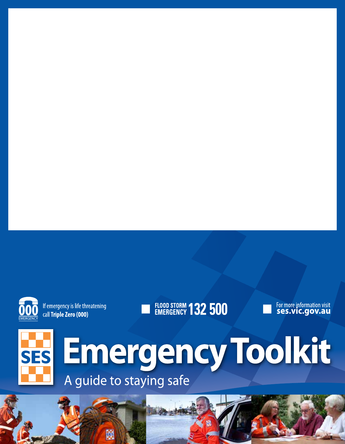

If emergency is life threatening call Triple Zero (000)

鹽

# **FLOOD STORM 132 500**





**Emergency Toolkit** A guide to staying safe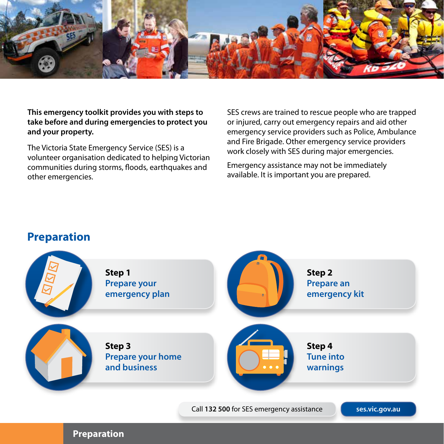

**This emergency toolkit provides you with steps to take before and during emergencies to protect you and your property.** 

The Victoria State Emergency Service (SES) is a volunteer organisation dedicated to helping Victorian communities during storms, floods, earthquakes and other emergencies.

SES crews are trained to rescue people who are trapped or injured, carry out emergency repairs and aid other emergency service providers such as Police, Ambulance and Fire Brigade. Other emergency service providers work closely with SES during major emergencies.

Emergency assistance may not be immediately available. It is important you are prepared.

#### **Preparation**



**Preparation**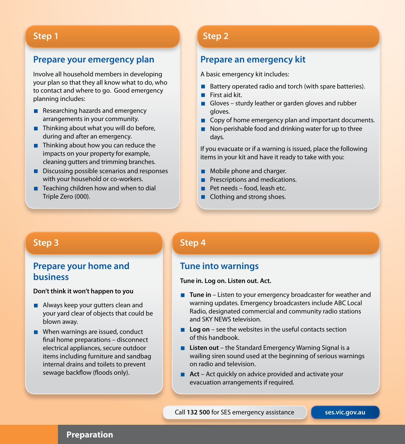#### **Prepare your emergency plan**

Involve all household members in developing your plan so that they all know what to do, who to contact and where to go. Good emergency planning includes:

- $\blacksquare$  Researching hazards and emergency arrangements in your community.
- $\blacksquare$  Thinking about what you will do before, during and after an emergency.
- Thinking about how you can reduce the impacts on your property for example, cleaning gutters and trimming branches.
- Discussing possible scenarios and responses with your household or co-workers.
- $\blacksquare$  Teaching children how and when to dial Triple Zero (000).

#### **Step 1 Step 2**

#### **Prepare an emergency kit**

A basic emergency kit includes:

- Battery operated radio and torch (with spare batteries).
- First aid kit.
- Gloves sturdy leather or garden gloves and rubber gloves.
- Copy of home emergency plan and important documents.
- $\blacksquare$  Non-perishable food and drinking water for up to three days.

If you evacuate or if a warning is issued, place the following items in your kit and have it ready to take with you:

- **Mobile phone and charger.**
- **Prescriptions and medications.**
- $\blacksquare$  Pet needs food, leash etc.
- Clothing and strong shoes.

### **Step 3**

#### **Prepare your home and business**

#### **Don't think it won't happen to you**

- **Always keep your gutters clean and** your yard clear of objects that could be blown away.
- When warnings are issued, conduct final home preparations – disconnect electrical appliances, secure outdoor items including furniture and sandbag internal drains and toilets to prevent sewage backflow (floods only).

#### **Step 4**

#### **Tune into warnings**

#### **Tune in. Log on. Listen out. Act.**

- Tune in Listen to your emergency broadcaster for weather and warning updates. Emergency broadcasters include ABC Local Radio, designated commercial and community radio stations and SKY NEWS television.
- **Log on** see the websites in the useful contacts section of this handbook.
- **Listen out** the Standard Emergency Warning Signal is a wailing siren sound used at the beginning of serious warnings on radio and television.
- **Act** Act quickly on advice provided and activate your evacuation arrangements if required.

Call **132 500** for SES emergency assistance **ses.vic.gov.au**

#### **Preparation**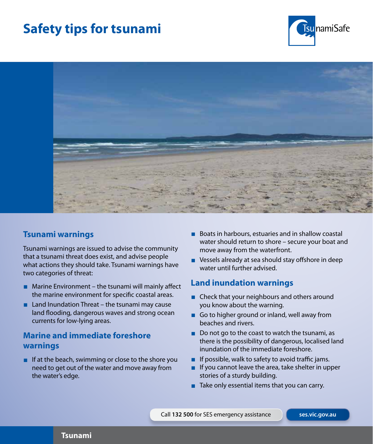# **Safety tips for tsunami**





#### **Tsunami warnings**

Tsunami warnings are issued to advise the community that a tsunami threat does exist, and advise people what actions they should take. Tsunami warnings have two categories of threat:

- **Marine Environment** the tsunami will mainly affect the marine environment for specific coastal areas.
- $\blacksquare$  Land Inundation Threat the tsunami may cause land flooding, dangerous waves and strong ocean currents for low-lying areas.

### **Marine and immediate foreshore warnings**

If at the beach, swimming or close to the shore you need to get out of the water and move away from the water's edge.

- Boats in harbours, estuaries and in shallow coastal water should return to shore – secure your boat and move away from the waterfront.
- Vessels already at sea should stay offshore in deep water until further advised.

### **Land inundation warnings**

- Check that your neighbours and others around you know about the warning.
- Go to higher ground or inland, well away from beaches and rivers.
- $\blacksquare$  Do not go to the coast to watch the tsunami, as there is the possibility of dangerous, localised land inundation of the immediate foreshore.
- If possible, walk to safety to avoid traffic jams.
- If you cannot leave the area, take shelter in upper stories of a sturdy building.
- $\blacksquare$  Take only essential items that you can carry.

Call **132 500** for SES emergency assistance **ses.vic.gov.au**

#### **Tsunami**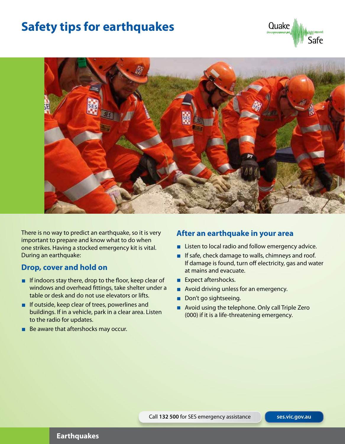## **Safety tips for earthquakes**





There is no way to predict an earthquake, so it is very important to prepare and know what to do when one strikes. Having a stocked emergency kit is vital. During an earthquake:

### **Drop, cover and hold on**

- If indoors stay there, drop to the floor, keep clear of windows and overhead fittings, take shelter under a table or desk and do not use elevators or lifts.
- $\blacksquare$  If outside, keep clear of trees, powerlines and buildings. If in a vehicle, park in a clear area. Listen to the radio for updates.
- Be aware that aftershocks may occur.

#### **After an earthquake in your area**

- **Listen to local radio and follow emergency advice.**
- If safe, check damage to walls, chimneys and roof. If damage is found, turn off electricity, gas and water at mains and evacuate.
- Expect aftershocks.
- Avoid driving unless for an emergency.
- Don't go sightseeing.
- Avoid using the telephone. Only call Triple Zero (000) if it is a life-threatening emergency.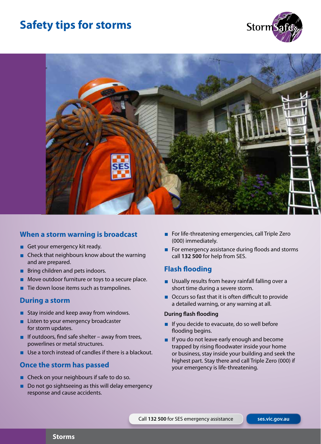## **Safety tips for storms**





### **When a storm warning is broadcast**

- Get your emergency kit ready.
- Check that neighbours know about the warning and are prepared.
- **Bring children and pets indoors.**
- Move outdoor furniture or toys to a secure place.
- $\blacksquare$  Tie down loose items such as trampolines.

#### **During a storm**

- Stay inside and keep away from windows.
- **Listen to your emergency broadcaster** for storm updates.
- If outdoors, find safe shelter away from trees, powerlines or metal structures.
- Use a torch instead of candles if there is a blackout.

#### **Once the storm has passed**

- Check on your neighbours if safe to do so.
- Do not go sightseeing as this will delay emergency response and cause accidents.
- For life-threatening emergencies, call Triple Zero (000) immediately.
- For emergency assistance during floods and storms call **132 500** for help from SES.

#### **Flash flooding**

- **Usually results from heavy rainfall falling over a** short time during a severe storm.
- Occurs so fast that it is often difficult to provide a detailed warning, or any warning at all.

#### **During flash flooding**

- $\blacksquare$  If you decide to evacuate, do so well before flooding begins.
- If you do not leave early enough and become trapped by rising floodwater inside your home or business, stay inside your building and seek the highest part. Stay there and call Triple Zero (000) if your emergency is life-threatening.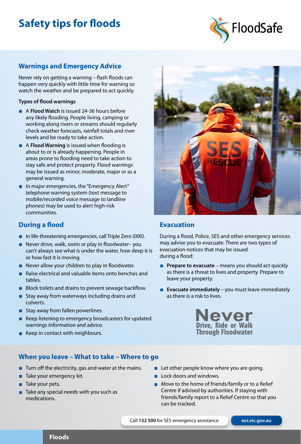# **Safety tips for floods**



#### **Warnings and Emergency Advice**

Never rely on getting a warning – flash floods can happen very quickly with little time for warning so watch the weather and be prepared to act quickly.

#### **Types of flood warnings**

- **A Flood Watch** is issued 24-36 hours before any likely flooding. People living, camping or working along rivers or streams should regularly check weather forecasts, rainfall totals and river levels and be ready to take action.
- **A Flood Warning** is issued when flooding is about to or is already happening. People in areas prone to flooding need to take action to stay safe and protect property. Flood warnings may be issued as minor, moderate, major or as a general warning.
- $\blacksquare$  In major emergencies, the "Emergency Alert" telephone warning system (text message to mobile/recorded voice message to landline phones) may be used to alert high-risk communities.

#### **During a flood**

- In life-threatening emergencies, call Triple Zero  $(000)$ .
- Never drive, walk, swim or play in floodwater– you can't always see what is under the water, how deep it is or how fast it is moving.
- Never allow your children to play in floodwater.
- Raise electrical and valuable items onto benches and tables.
- **Block toilets and drains to prevent sewage backflow.**
- $\blacksquare$  Stay away from waterways including drains and culverts.
- **Stay away from fallen powerlines.**
- Keep listening to emergency broadcasters for updated warnings information and advice.
- Keep in contact with neighbours.

#### **When you leave – What to take – Where to go**

- $\blacksquare$  Turn off the electricity, gas and water at the mains.
- $\blacksquare$  Take your emergency kit.
- **Take your pets.**
- Take any special needs with you such as medications.



#### **Evacuation**

During a flood, Police, SES and other emergency services may advise you to evacuate. There are two types of evacuation notices that may be issued during a flood:

- **Prepare to evacuate** means you should act quickly as there is a threat to lives and property. Prepare to leave your property.
- **Evacuate immediately** you must leave immediately as there is a risk to lives.



- **Let other people know where you are going.**
- **Lock doors and windows.**
- Move to the home of friends/family or to a Relief Centre if advised by authorities. If staying with friends/family report to a Relief Centre so that you can be tracked.

Call **132 500** for SES emergency assistance **ses.vic.gov.au**